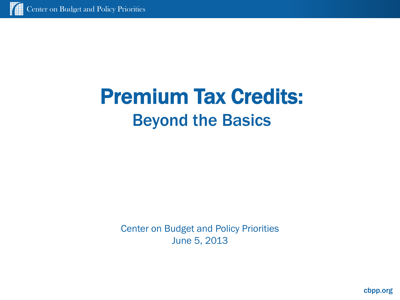# Premium Tax Credits: Beyond the Basics

Center on Budget and Policy Priorities June 5, 2013

cbpp.org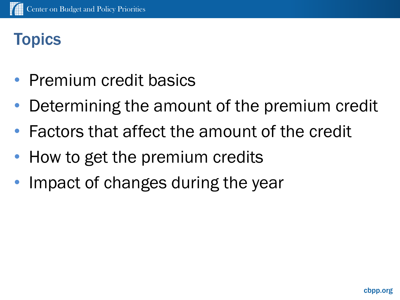# **Topics**

- Premium credit basics
- Determining the amount of the premium credit
- Factors that affect the amount of the credit
- How to get the premium credits
- Impact of changes during the year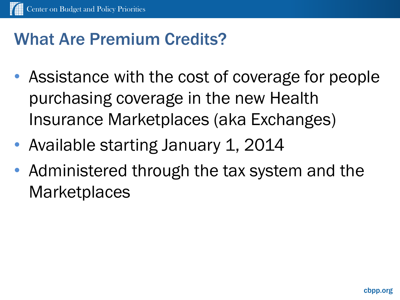### What Are Premium Credits?

- Assistance with the cost of coverage for people purchasing coverage in the new Health Insurance Marketplaces (aka Exchanges)
- Available starting January 1, 2014
- Administered through the tax system and the **Marketplaces**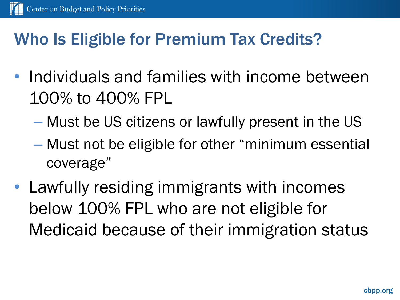### Who Is Eligible for Premium Tax Credits?

- Individuals and families with income between 100% to 400% FPL
	- Must be US citizens or lawfully present in the US
	- Must not be eligible for other "minimum essential coverage"
- Lawfully residing immigrants with incomes below 100% FPL who are not eligible for Medicaid because of their immigration status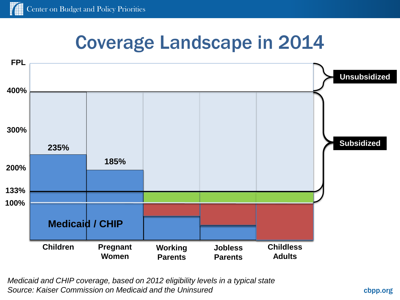# Coverage Landscape in 2014



*Medicaid and CHIP coverage, based on 2012 eligibility levels in a typical state Source: Kaiser Commission on Medicaid and the Uninsured*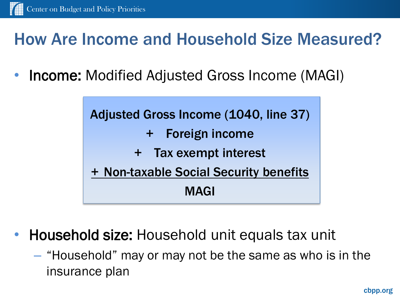#### How Are Income and Household Size Measured?

• Income: Modified Adjusted Gross Income (MAGI)



- Household size: Household unit equals tax unit
	- "Household" may or may not be the same as who is in the insurance plan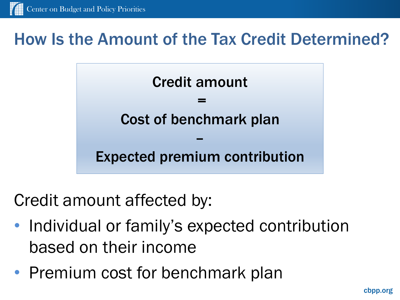#### How Is the Amount of the Tax Credit Determined?



Credit amount affected by:

- Individual or family's expected contribution based on their income
- Premium cost for benchmark plan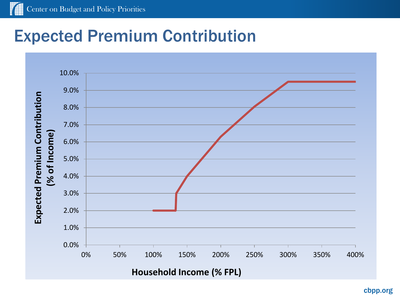### Expected Premium Contribution

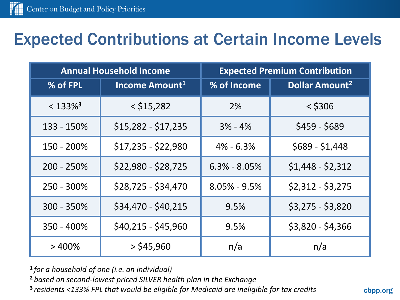#### Expected Contributions at Certain Income Levels

| <b>Annual Household Income</b> |                            | <b>Expected Premium Contribution</b> |                                  |  |
|--------------------------------|----------------------------|--------------------------------------|----------------------------------|--|
| % of FPL                       | Income Amount <sup>1</sup> | % of Income                          | <b>Dollar Amount<sup>2</sup></b> |  |
| $< 133\%$ <sup>3</sup>         | $<$ \$15,282               | 2%                                   | $<$ \$306                        |  |
| 133 - 150%                     | $$15,282 - $17,235$        | $3% - 4%$                            | $$459 - $689$                    |  |
| 150 - 200%                     | \$17,235 - \$22,980        | $4\% - 6.3\%$                        | $$689 - $1,448$                  |  |
| 200 - 250%                     | \$22,980 - \$28,725        | $6.3\% - 8.05\%$                     | $$1,448 - $2,312$                |  |
| 250 - 300%                     | \$28,725 - \$34,470        | $8.05\% - 9.5\%$                     | $$2,312 - $3,275$                |  |
| 300 - 350%                     | \$34,470 - \$40,215        | 9.5%                                 | $$3,275 - $3,820$                |  |
| 350 - 400%                     | \$40,215 - \$45,960        | 9.5%                                 | $$3,820 - $4,366$                |  |
| $>400\%$                       | $>$ \$45,960               | n/a                                  | n/a                              |  |

**<sup>1</sup>***for a household of one (i.e. an individual)*

**<sup>2</sup>** *based on second-lowest priced SILVER health plan in the Exchange* **3** *residents <133% FPL that would be eligible for Medicaid are ineligible for tax credits*

cbpp.org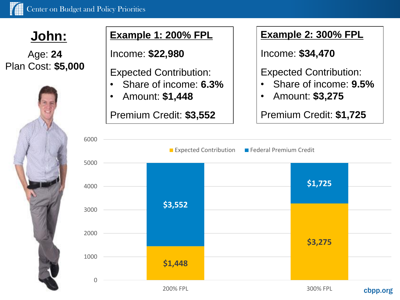Age: **24** Plan Cost: **\$5,000**



#### **John: Example 1: 200% FPL**

Income: **\$22,980**

Expected Contribution:

- Share of income: **6.3%**
- Amount: **\$1,448**

Premium Credit: **\$3,552**

#### **Example 2: 300% FPL**

Income: **\$34,470**

Expected Contribution:

- Share of income: **9.5%**
- Amount: **\$3,275**

Premium Credit: **\$1,725**

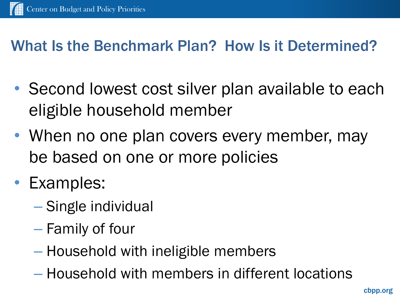#### What Is the Benchmark Plan? How Is it Determined?

- Second lowest cost silver plan available to each eligible household member
- When no one plan covers every member, may be based on one or more policies
- Examples:
	- Single individual
	- Family of four
	- Household with ineligible members
	- Household with members in different locations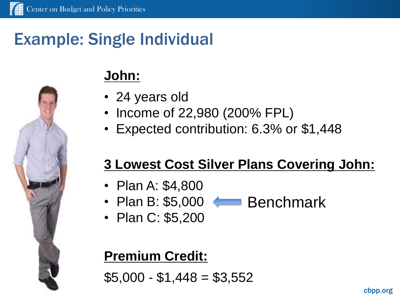### Example: Single Individual

#### **John:**

- 24 years old
- Income of 22,980 (200% FPL)
- Expected contribution: 6.3% or \$1,448

#### **3 Lowest Cost Silver Plans Covering John:**

- Plan A: \$4,800
- Plan B: \$5,000 Benchmark
- Plan C: \$5,200

#### **Premium Credit:**

 $$5,000 - $1,448 = $3,552$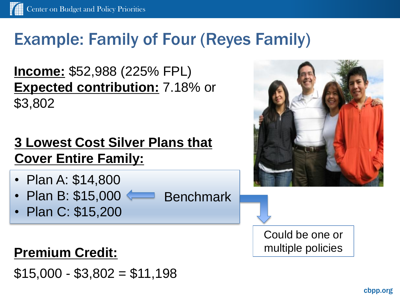# Example: Family of Four (Reyes Family)

**Income:** \$52,988 (225% FPL) **Expected contribution:** 7.18% or \$3,802

#### **3 Lowest Cost Silver Plans that Cover Entire Family:**

- Plan A: \$14,800
- Plan B: \$15,000 Benchmark
- Plan C: \$15,200

#### **Premium Credit:**

 $$15,000 - $3,802 = $11,198$ 



Could be one or multiple policies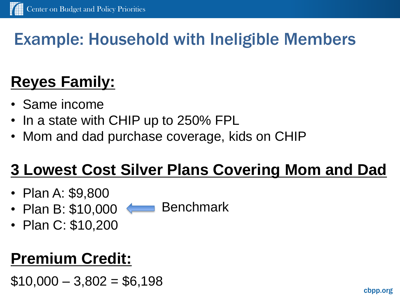# Example: Household with Ineligible Members

# **Reyes Family:**

- Same income
- In a state with CHIP up to 250% FPL
- Mom and dad purchase coverage, kids on CHIP

# **3 Lowest Cost Silver Plans Covering Mom and Dad**

- Plan A: \$9,800
- Plan B: \$10,000 Benchmark
- Plan C: \$10,200

# **Premium Credit:**

 $$10,000 - 3,802 = $6,198$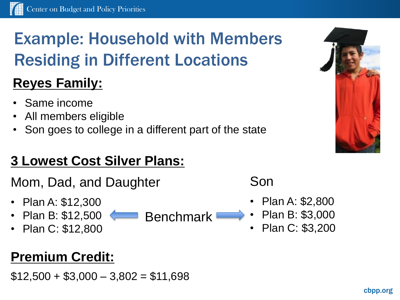# Example: Household with Members Residing in Different Locations

#### **Reyes Family:**

- Same income
- All members eligible
- Son goes to college in a different part of the state

#### **3 Lowest Cost Silver Plans:**

Mom, Dad, and Daughter

- Plan A: \$12,300
- Plan B: \$12,500 Benchmark
- Plan C: \$12,800

#### **Premium Credit:**

 $$12,500 + $3,000 - 3,802 = $11,698$ 



Son

- Plan A: \$2,800
- Plan B: \$3,000
- Plan C: \$3,200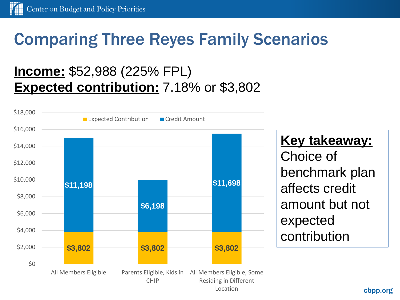### Comparing Three Reyes Family Scenarios

#### **Income:** \$52,988 (225% FPL) **Expected contribution:** 7.18% or \$3,802



#### **Key takeaway:**

Choice of benchmark plan affects credit amount but not expected contribution

cbpp.org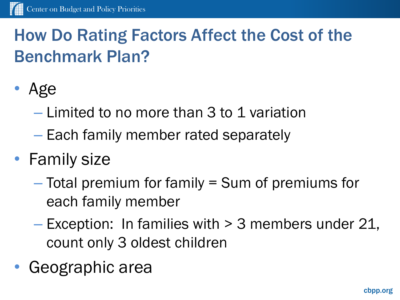# How Do Rating Factors Affect the Cost of the Benchmark Plan?

- Age
	- Limited to no more than 3 to 1 variation
	- Each family member rated separately
- Family size
	- Total premium for family = Sum of premiums for each family member
	- Exception: In families with > 3 members under 21, count only 3 oldest children
- Geographic area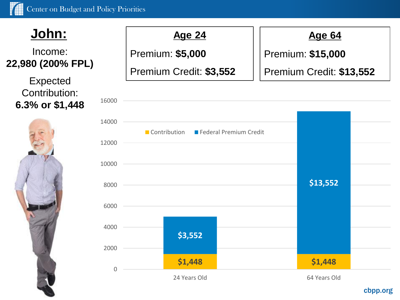16000

#### **John: Age 24**

#### Income: **22,980 (200% FPL)**

Expected Contribution: **6.3% or \$1,448**



Premium: **\$5,000**

Premium Credit: **\$3,552**

#### **Age 64**

Premium: **\$15,000**

Premium Credit: **\$13,552**



#### cbpp.org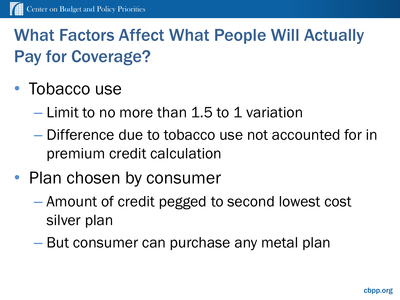# What Factors Affect What People Will Actually Pay for Coverage?

- Tobacco use
	- Limit to no more than 1.5 to 1 variation
	- Difference due to tobacco use not accounted for in premium credit calculation
- Plan chosen by consumer
	- Amount of credit pegged to second lowest cost silver plan
	- But consumer can purchase any metal plan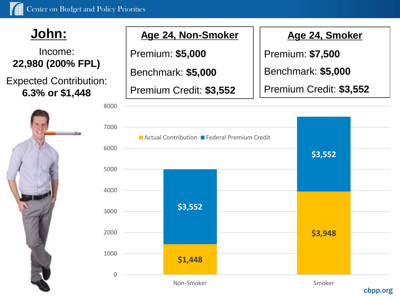Income: **22,980 (200% FPL)**

Expected Contribution: **6.3% or \$1,448**



#### **John: Age 24, Non-Smoker**

Premium: **\$5,000**

Benchmark: **\$5,000**

Premium Credit: **\$3,552**

**Age 24, Smoker**

Premium: **\$7,500**

Benchmark: **\$5,000**

Premium Credit: **\$3,552**

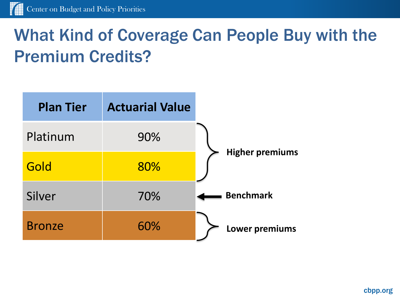# What Kind of Coverage Can People Buy with the Premium Credits?

| <b>Plan Tier</b> | <b>Actuarial Value</b> |                        |
|------------------|------------------------|------------------------|
| Platinum         | 90%                    |                        |
| Gold             | 80%                    | <b>Higher premiums</b> |
| Silver           | 70%                    | <b>Benchmark</b>       |
| <b>Bronze</b>    | 60%                    | Lower premiums         |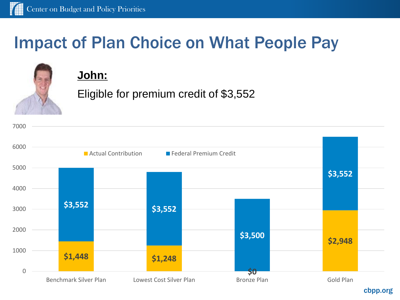# Impact of Plan Choice on What People Pay



#### **John:**

Eligible for premium credit of \$3,552



cbpp.org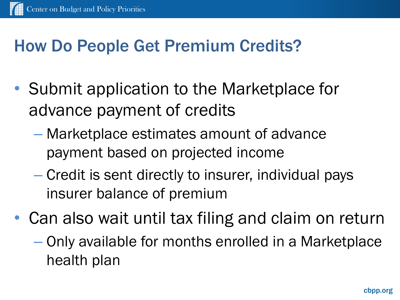# How Do People Get Premium Credits?

- Submit application to the Marketplace for advance payment of credits
	- Marketplace estimates amount of advance payment based on projected income
	- Credit is sent directly to insurer, individual pays insurer balance of premium
- Can also wait until tax filing and claim on return
	- Only available for months enrolled in a Marketplace health plan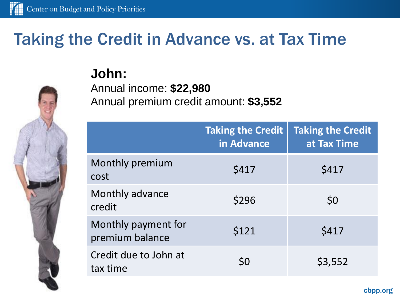### Taking the Credit in Advance vs. at Tax Time

#### **John:**

Annual income: **\$22,980** Annual premium credit amount: **\$3,552** 

|                                        | <b>Taking the Credit</b><br>in Advance | <b>Taking the Credit</b><br>at Tax Time |
|----------------------------------------|----------------------------------------|-----------------------------------------|
| Monthly premium<br>cost                | \$417                                  | \$417                                   |
| Monthly advance<br>credit              | \$296                                  | \$0                                     |
| Monthly payment for<br>premium balance | \$121                                  | \$417                                   |
| Credit due to John at<br>tax time      | \$0                                    | \$3,552                                 |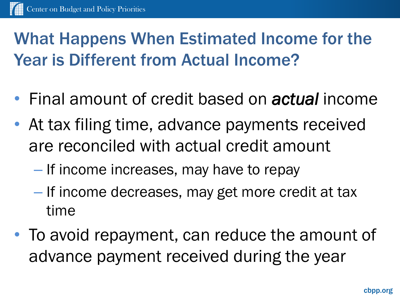# What Happens When Estimated Income for the Year is Different from Actual Income?

- Final amount of credit based on *actual* income
- At tax filing time, advance payments received are reconciled with actual credit amount
	- If income increases, may have to repay
	- If income decreases, may get more credit at tax time
- To avoid repayment, can reduce the amount of advance payment received during the year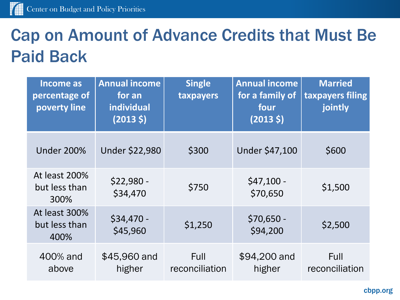# Cap on Amount of Advance Credits that Must Be Paid Back

| <b>Income as</b><br>percentage of<br>poverty line | <b>Annual income</b><br>for an<br>individual<br>$(2013 \; \zeta)$ | <b>Single</b><br>taxpayers | <b>Annual income</b><br>for a family of<br>four<br>$(2013 \; \zeta)$ | <b>Married</b><br>taxpayers filing<br>jointly |
|---------------------------------------------------|-------------------------------------------------------------------|----------------------------|----------------------------------------------------------------------|-----------------------------------------------|
| <b>Under 200%</b>                                 | <b>Under \$22,980</b>                                             | \$300                      | Under \$47,100                                                       | \$600                                         |
| At least 200%<br>but less than<br>300%            | $$22,980 -$<br>\$34,470                                           | \$750                      | $$47,100 -$<br>\$70,650                                              | \$1,500                                       |
| At least 300%<br>but less than<br>400%            | $$34,470 -$<br>\$45,960                                           | \$1,250                    | $$70,650 -$<br>\$94,200                                              | \$2,500                                       |
| 400% and<br>above                                 | \$45,960 and<br>higher                                            | Full<br>reconciliation     | \$94,200 and<br>higher                                               | Full<br>reconciliation                        |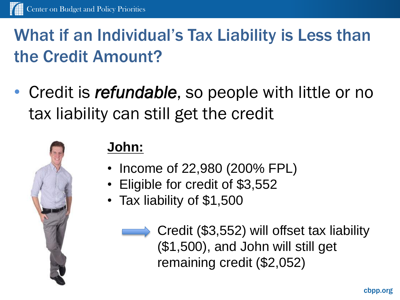# What if an Individual's Tax Liability is Less than the Credit Amount?

• Credit is *refundable*, so people with little or no tax liability can still get the credit



#### **John:**

- Income of 22,980 (200% FPL)
- Eligible for credit of \$3,552
- Tax liability of \$1,500